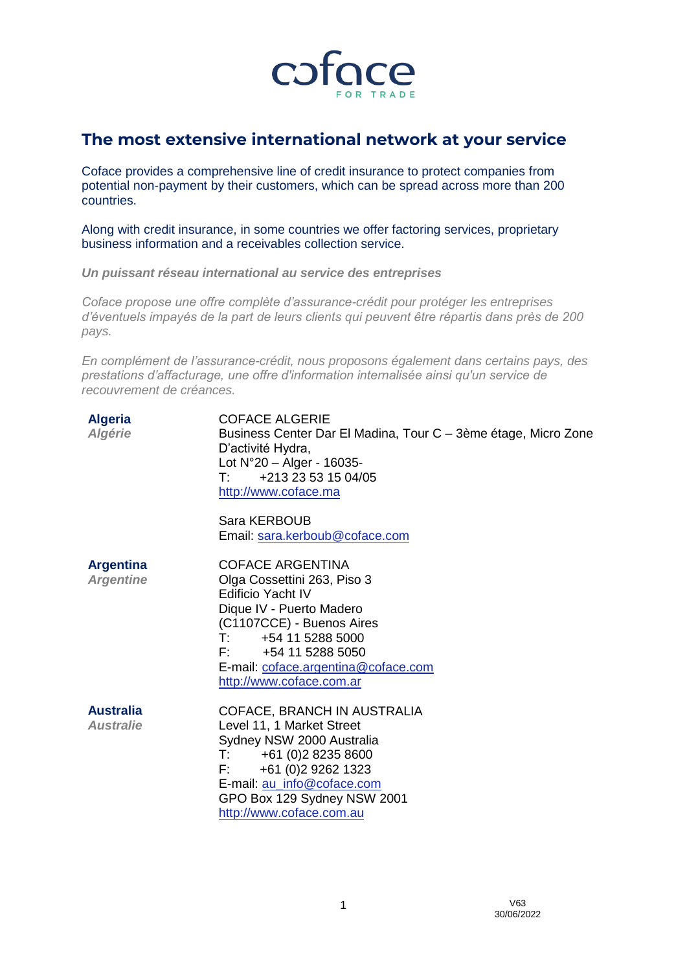

# **The most extensive international network at your service**

Coface provides a comprehensive line of credit insurance to protect companies from potential non-payment by their customers, which can be spread across more than 200 countries.

Along with credit insurance, in some countries we offer factoring services, proprietary business information and a receivables collection service.

*Un puissant réseau international au service des entreprises*

*Coface propose une offre complète d'assurance-crédit pour protéger les entreprises d'éventuels impayés de la part de leurs clients qui peuvent être répartis dans près de 200 pays.*

*En complément de l'assurance-crédit, nous proposons également dans certains pays, des prestations d'affacturage, une offre d'information internalisée ainsi qu'un service de recouvrement de créances.*

| <b>Algeria</b><br><b>Algérie</b>     | <b>COFACE ALGERIE</b><br>Business Center Dar El Madina, Tour C – 3ème étage, Micro Zone<br>D'activité Hydra,<br>Lot $N^{\circ}20 -$ Alger - 16035-<br>+213 23 53 15 04/05<br>T: I<br>http://www.coface.ma                                                                                       |
|--------------------------------------|-------------------------------------------------------------------------------------------------------------------------------------------------------------------------------------------------------------------------------------------------------------------------------------------------|
|                                      | Sara KERBOUB<br>Email: sara.kerboub@coface.com                                                                                                                                                                                                                                                  |
| <b>Argentina</b><br><b>Argentine</b> | <b>COFACE ARGENTINA</b><br>Olga Cossettini 263, Piso 3<br>Edificio Yacht IV<br>Dique IV - Puerto Madero<br>(C1107CCE) - Buenos Aires<br>$\mathsf{T}^{\mathsf{r}}$ and $\mathsf{r}$<br>+54 11 5288 5000<br>$F: +541152885050$<br>E-mail: coface.argentina@coface.com<br>http://www.coface.com.ar |
| <b>Australia</b><br><b>Australie</b> | COFACE, BRANCH IN AUSTRALIA<br>Level 11, 1 Market Street<br>Sydney NSW 2000 Australia<br>+61 (0)2 8235 8600<br>$\mathsf{T} \mathsf{f}$ . The $\mathsf{f}$<br>+61 (0)2 9262 1323<br>$F_{\rm 1}$<br>E-mail: au_info@coface.com<br>GPO Box 129 Sydney NSW 2001<br>http://www.coface.com.au         |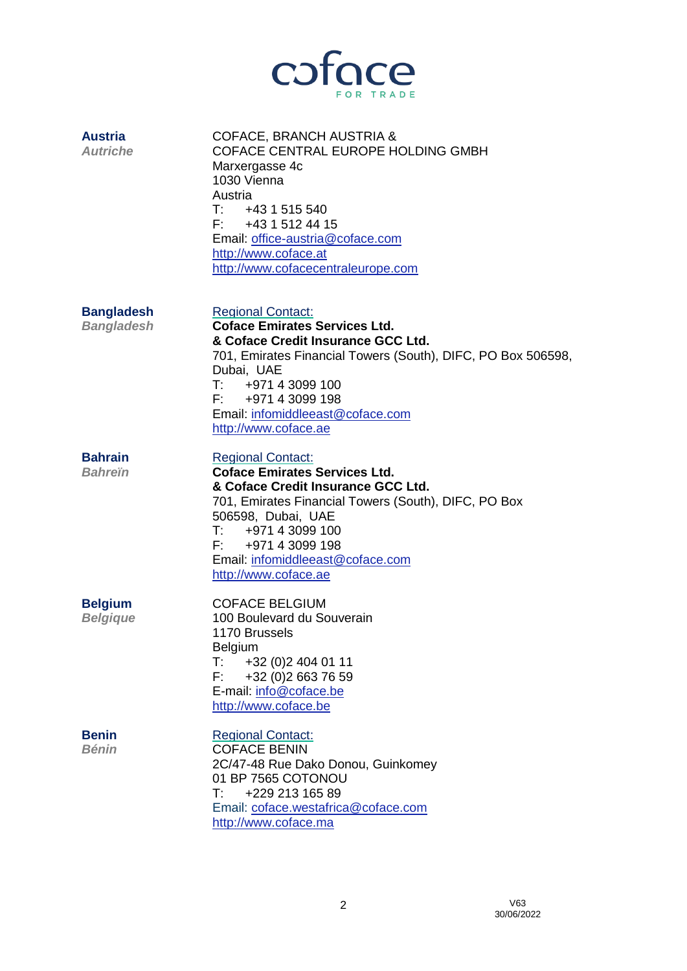

| <b>Austria</b><br><b>Autriche</b>      | COFACE, BRANCH AUSTRIA &<br>COFACE CENTRAL EUROPE HOLDING GMBH<br>Marxergasse 4c<br>1030 Vienna<br>Austria<br>$T:$ +43 1 515 540<br>F: 4315124415<br>Email: office-austria@coface.com<br>http://www.coface.at<br>http://www.cofacecentraleurope.com                                    |
|----------------------------------------|----------------------------------------------------------------------------------------------------------------------------------------------------------------------------------------------------------------------------------------------------------------------------------------|
| <b>Bangladesh</b><br><b>Bangladesh</b> | <b>Regional Contact:</b><br><b>Coface Emirates Services Ltd.</b><br>& Coface Credit Insurance GCC Ltd.<br>701, Emirates Financial Towers (South), DIFC, PO Box 506598,<br>Dubai, UAE<br>T: 497143099100<br>F: 497143099198<br>Email: infomiddleeast@coface.com<br>http://www.coface.ae |
| <b>Bahrain</b><br><b>Bahrein</b>       | <b>Regional Contact:</b><br><b>Coface Emirates Services Ltd.</b><br>& Coface Credit Insurance GCC Ltd.<br>701, Emirates Financial Towers (South), DIFC, PO Box<br>506598, Dubai, UAE<br>T: 497143099100<br>F: 497143099198<br>Email: infomiddleeast@coface.com<br>http://www.coface.ae |
| <b>Belgium</b><br><b>Belgique</b>      | <b>COFACE BELGIUM</b><br>100 Boulevard du Souverain<br>1170 Brussels<br><b>Belgium</b><br>$T$ :<br>+32 (0)2 404 01 11<br>F:<br>+32 (0) 2 663 76 59<br>E-mail: info@coface.be<br>http://www.coface.be                                                                                   |
| <b>Benin</b><br><b>Bénin</b>           | <b>Regional Contact:</b><br><b>COFACE BENIN</b><br>2C/47-48 Rue Dako Donou, Guinkomey<br>01 BP 7565 COTONOU<br>+229 213 165 89<br>$\mathsf{T}$ :<br>Email: coface.westafrica@coface.com<br>http://www.coface.ma                                                                        |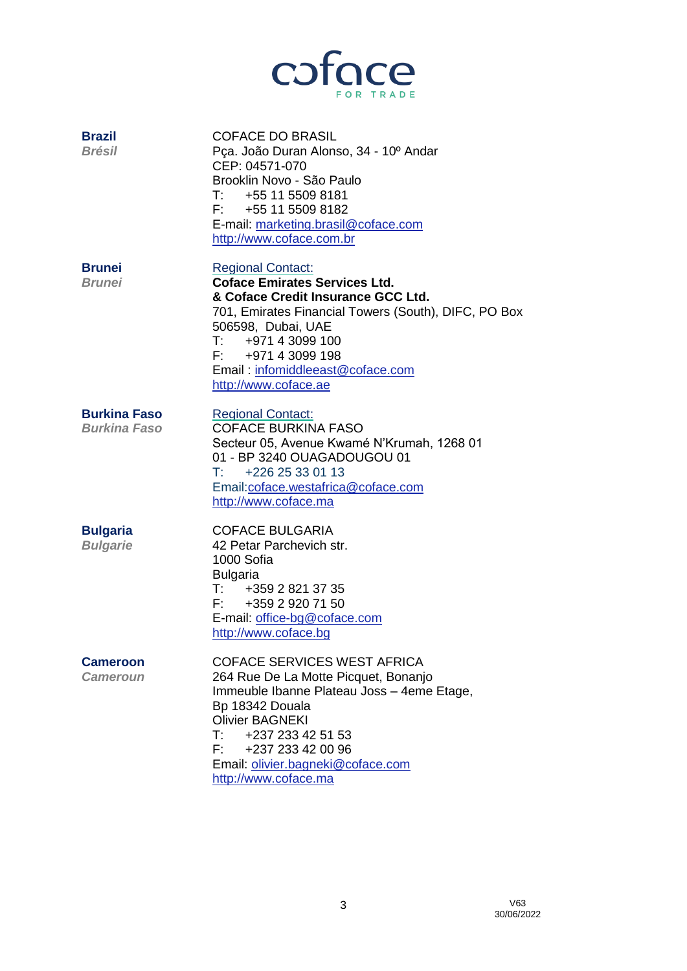

| <b>Brazil</b><br><b>Brésil</b>             | <b>COFACE DO BRASIL</b><br>Pça. João Duran Alonso, 34 - 10º Andar<br>CEP: 04571-070<br>Brooklin Novo - São Paulo<br>T: 4551155098181<br>F: 4551155098182<br>E-mail: marketing.brasil@coface.com<br>http://www.coface.com.br                                                                       |
|--------------------------------------------|---------------------------------------------------------------------------------------------------------------------------------------------------------------------------------------------------------------------------------------------------------------------------------------------------|
| <b>Brunei</b><br><b>Brunei</b>             | <b>Regional Contact:</b><br><b>Coface Emirates Services Ltd.</b><br>& Coface Credit Insurance GCC Ltd.<br>701, Emirates Financial Towers (South), DIFC, PO Box<br>506598, Dubai, UAE<br>T: 497143099100<br>F: +971 4 3099 198<br>Email: infomiddleeast@coface.com<br>http://www.coface.ae         |
| <b>Burkina Faso</b><br><b>Burkina Faso</b> | <b>Regional Contact:</b><br><b>COFACE BURKINA FASO</b><br>Secteur 05, Avenue Kwamé N'Krumah, 1268 01<br>01 - BP 3240 OUAGADOUGOU 01<br>$T:$ +226 25 33 01 13<br>Email:coface.westafrica@coface.com<br>http://www.coface.ma                                                                        |
| <b>Bulgaria</b><br><b>Bulgarie</b>         | <b>COFACE BULGARIA</b><br>42 Petar Parchevich str.<br>1000 Sofia<br><b>Bulgaria</b><br>T: 435928213735<br>F: +359 2 920 71 50<br>E-mail: office-bg@coface.com<br>http://www.coface.bg                                                                                                             |
| <b>Cameroon</b><br><i><b>Cameroun</b></i>  | <b>COFACE SERVICES WEST AFRICA</b><br>264 Rue De La Motte Picquet, Bonanjo<br>Immeuble Ibanne Plateau Joss - 4eme Etage,<br>Bp 18342 Douala<br><b>Olivier BAGNEKI</b><br>$\mathsf{T}:\mathsf{I} \to \mathsf{I}$<br>+237 233 42 51 53<br>F: +237 233 42 00 96<br>Email: olivier.bagneki@coface.com |

[http://www.coface.ma](http://www.coface.ma/)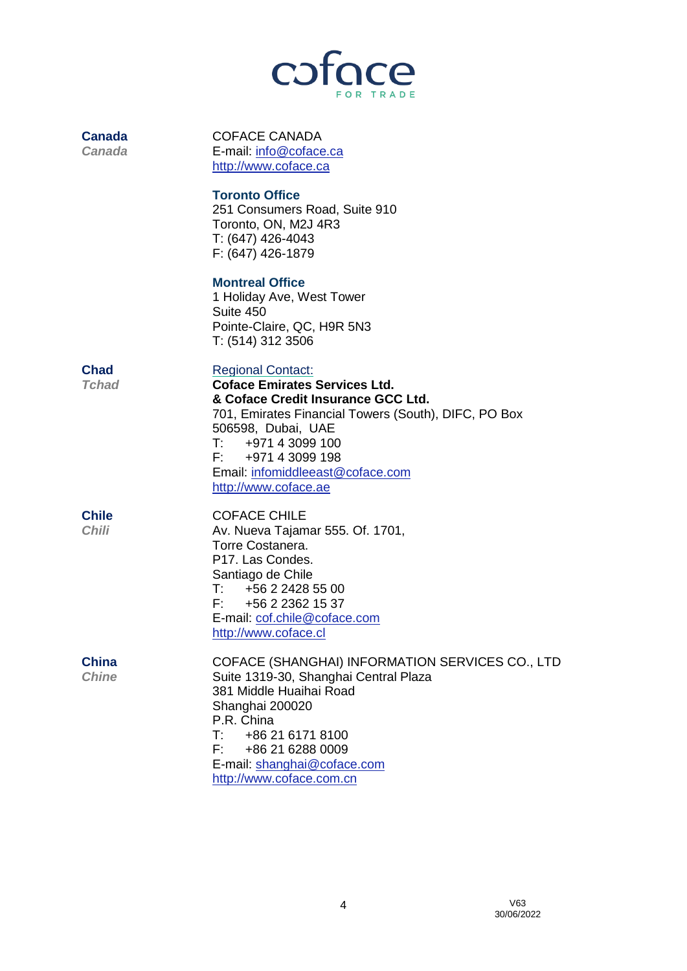

| <b>Canada</b><br><b>Canada</b> | <b>COFACE CANADA</b><br>E-mail: info@coface.ca<br>http://www.coface.ca                                                                                                                                                                                                                            |
|--------------------------------|---------------------------------------------------------------------------------------------------------------------------------------------------------------------------------------------------------------------------------------------------------------------------------------------------|
|                                | <b>Toronto Office</b><br>251 Consumers Road, Suite 910<br>Toronto, ON, M2J 4R3<br>T: (647) 426-4043<br>F: (647) 426-1879                                                                                                                                                                          |
|                                | <b>Montreal Office</b><br>1 Holiday Ave, West Tower<br>Suite 450<br>Pointe-Claire, QC, H9R 5N3<br>T: (514) 312 3506                                                                                                                                                                               |
| <b>Chad</b><br><b>Tchad</b>    | <b>Regional Contact:</b><br><b>Coface Emirates Services Ltd.</b><br>& Coface Credit Insurance GCC Ltd.<br>701, Emirates Financial Towers (South), DIFC, PO Box<br>506598, Dubai, UAE<br>T: 497143099100<br>F: 497143099198<br>Email: infomiddleeast@coface.com<br>http://www.coface.ae            |
| <b>Chile</b><br><b>Chili</b>   | <b>COFACE CHILE</b><br>Av. Nueva Tajamar 555. Of. 1701,<br>Torre Costanera.<br>P17. Las Condes.<br>Santiago de Chile<br>T: 456224285500<br>F: 456223621537<br>E-mail: cof.chile@coface.com<br>http://www.coface.cl                                                                                |
| <b>China</b><br><b>Chine</b>   | COFACE (SHANGHAI) INFORMATION SERVICES CO., LTD<br>Suite 1319-30, Shanghai Central Plaza<br>381 Middle Huaihai Road<br>Shanghai 200020<br>P.R. China<br>+86 21 6171 8100<br>$\mathsf{T}:\mathsf{I} \to \mathsf{I}$<br>F: 4862162880009<br>E-mail: shanghai@coface.com<br>http://www.coface.com.cn |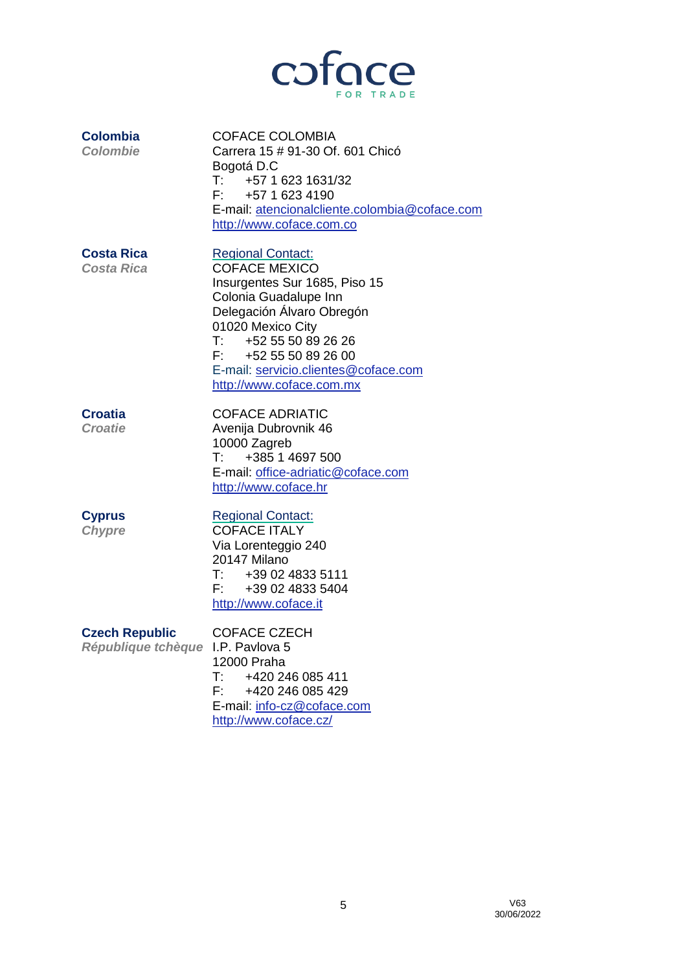

| <b>Colombia</b><br><b>Colombie</b>                         | <b>COFACE COLOMBIA</b><br>Carrera 15 # 91-30 Of. 601 Chicó<br>Bogotá D.C<br>T: 45716231631/32<br>$F: +5716234190$<br>E-mail: atencionalcliente.colombia@coface.com<br>http://www.coface.com.co                                                                                       |
|------------------------------------------------------------|--------------------------------------------------------------------------------------------------------------------------------------------------------------------------------------------------------------------------------------------------------------------------------------|
| <b>Costa Rica</b><br><b>Costa Rica</b>                     | <b>Regional Contact:</b><br><b>COFACE MEXICO</b><br>Insurgentes Sur 1685, Piso 15<br>Colonia Guadalupe Inn<br>Delegación Álvaro Obregón<br>01020 Mexico City<br>$T:$ +52 55 50 89 26 26<br>F: +52 55 50 89 26 00<br>E-mail: servicio.clientes@coface.com<br>http://www.coface.com.mx |
| <b>Croatia</b><br><b>Croatie</b>                           | <b>COFACE ADRIATIC</b><br>Avenija Dubrovnik 46<br>10000 Zagreb<br>+385 1 4697 500<br>$\mathsf{T}^{\mathsf{r}}$<br>E-mail: office-adriatic@coface.com<br>http://www.coface.hr                                                                                                         |
| <b>Cyprus</b><br><b>Chypre</b>                             | <b>Regional Contact:</b><br><b>COFACE ITALY</b><br>Via Lorenteggio 240<br>20147 Milano<br>T: 4390248335111<br>F: 4390248335404<br>http://www.coface.it                                                                                                                               |
| <b>Czech Republic</b><br>République tchèque I.P. Pavlova 5 | <b>COFACE CZECH</b><br>12000 Praha<br>T:<br>+420 246 085 411<br>F.<br>+420 246 085 429<br>E-mail: info-cz@coface.com<br>http://www.coface.cz/                                                                                                                                        |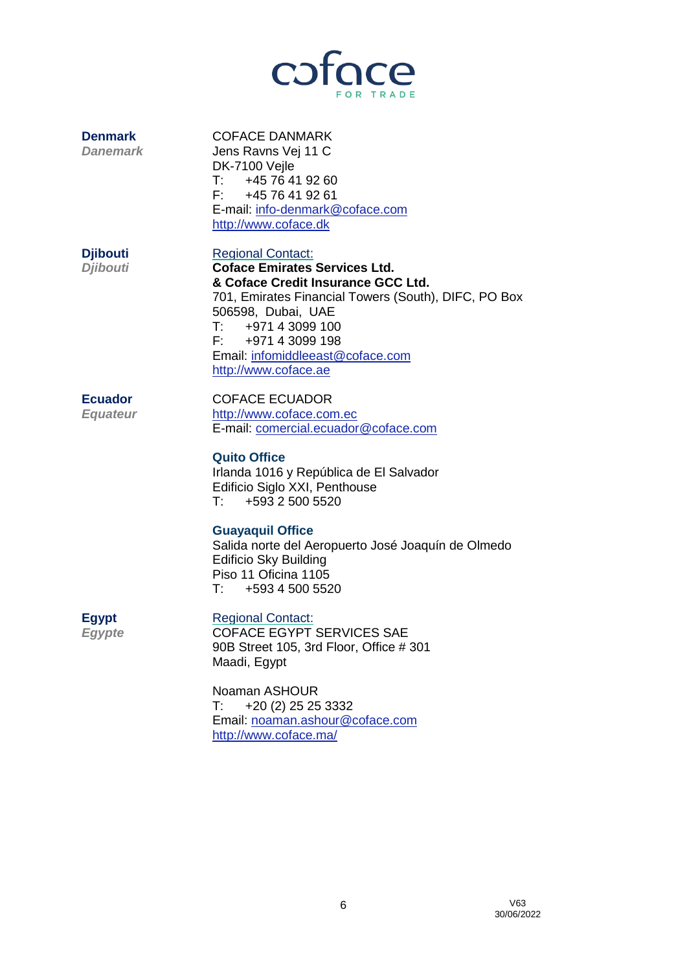

**Denmark** COFACE DANMARK *Danemark* Jens Ravns Vej 11 C DK-7100 Vejle T: +45 76 41 92 60 F: +45 76 41 92 61 E-mail: [info-denmark@coface.com](mailto:info-denmark@coface.com) [http://www.coface.dk](http://www.coface.dk/)

**Djibouti** Regional Contact: *Djibouti* **Coface Emirates Services Ltd.**

**& Coface Credit Insurance GCC Ltd.** 701, Emirates Financial Towers (South), DIFC, PO Box 506598, Dubai, UAE T: +971 4 3099 100 F: +971 4 3099 198 Email: [infomiddleeast@coface.com](mailto:infomiddleeast@coface.com) [http://www.coface.ae](http://www.coface.ae/)

**Ecuador** COFACE ECUADOR *Equateur* [http://www.coface.com.ec](http://www.coface.com.ec/) E-mail: [comercial.ecuador@coface.com](mailto:comercial.ecuador@coface.com)

## **Quito Office**

Irlanda 1016 y República de El Salvador Edificio Siglo XXI, Penthouse T: +593 2 500 5520

## **Guayaquil Office**

Salida norte del Aeropuerto José Joaquín de Olmedo Edificio Sky Building Piso 11 Oficina 1105  $T: +59345005520$ 

**Egypt** Regional Contact:

**Egypte COFACE EGYPT SERVICES SAE** 90B Street 105, 3rd Floor, Office # 301 Maadi, Egypt

> Noaman ASHOUR T: +20 (2) 25 25 3332 Email: [noaman.ashour@coface.com](mailto:noaman.ashour@coface.com) <http://www.coface.ma/>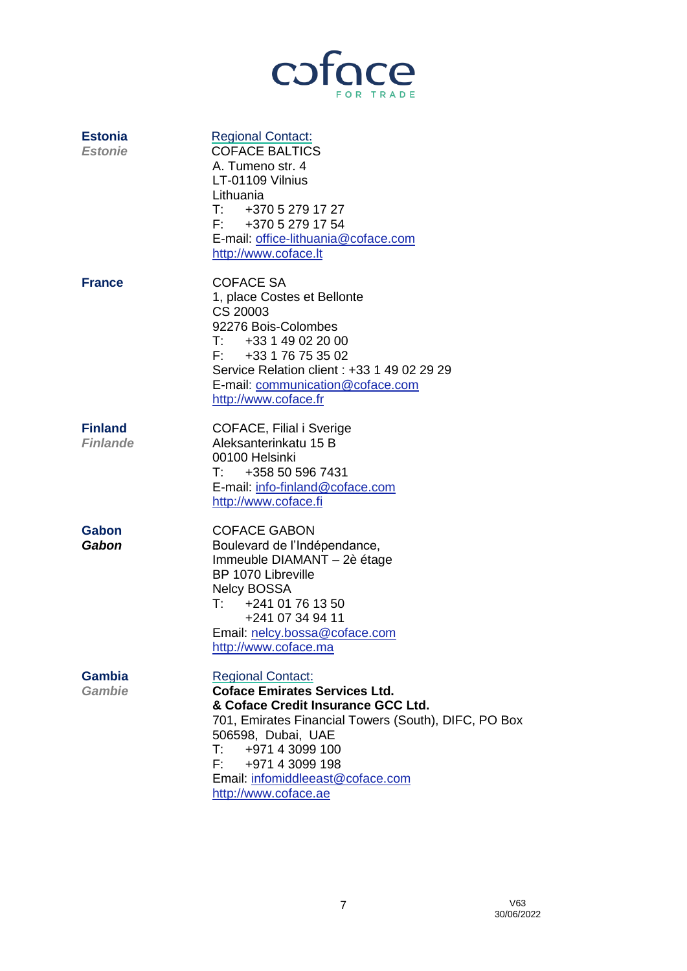

| <b>Estonia</b><br><b>Estonie</b>  | <b>Regional Contact:</b><br><b>COFACE BALTICS</b><br>A. Tumeno str. 4<br>LT-01109 Vilnius<br>Lithuania<br>$T: +37052791727$<br>F: +370 5 279 17 54<br>E-mail: office-lithuania@coface.com<br>http://www.coface.lt                                                                      |
|-----------------------------------|----------------------------------------------------------------------------------------------------------------------------------------------------------------------------------------------------------------------------------------------------------------------------------------|
| <b>France</b>                     | <b>COFACE SA</b><br>1, place Costes et Bellonte<br>CS 20003<br>92276 Bois-Colombes<br>T: 433149022000<br>F: 433176753502<br>Service Relation client: +33 1 49 02 29 29<br>E-mail: communication@coface.com<br>http://www.coface.fr                                                     |
| <b>Finland</b><br><b>Finlande</b> | COFACE, Filial i Sverige<br>Aleksanterinkatu 15 B<br>00100 Helsinki<br>+358 50 596 7431<br>$\mathsf{T}^{\mathsf{r}}$<br>E-mail: info-finland@coface.com<br>http://www.coface.fi                                                                                                        |
| Gabon<br>Gabon                    | <b>COFACE GABON</b><br>Boulevard de l'Indépendance,<br>Immeuble DIAMANT - 2è étage<br><b>BP 1070 Libreville</b><br><b>Nelcy BOSSA</b><br>$\mathsf{T}:\mathsf{I}$<br>+241 01 76 13 50<br>+241 07 34 94 11<br>Email: nelcy.bossa@coface.com<br>http://www.coface.ma                      |
| <b>Gambia</b><br><b>Gambie</b>    | <b>Regional Contact:</b><br><b>Coface Emirates Services Ltd.</b><br>& Coface Credit Insurance GCC Ltd.<br>701, Emirates Financial Towers (South), DIFC, PO Box<br>506598, Dubai, UAE<br>T: 497143099100<br>F: 497143099198<br>Email: infomiddleeast@coface.com<br>http://www.coface.ae |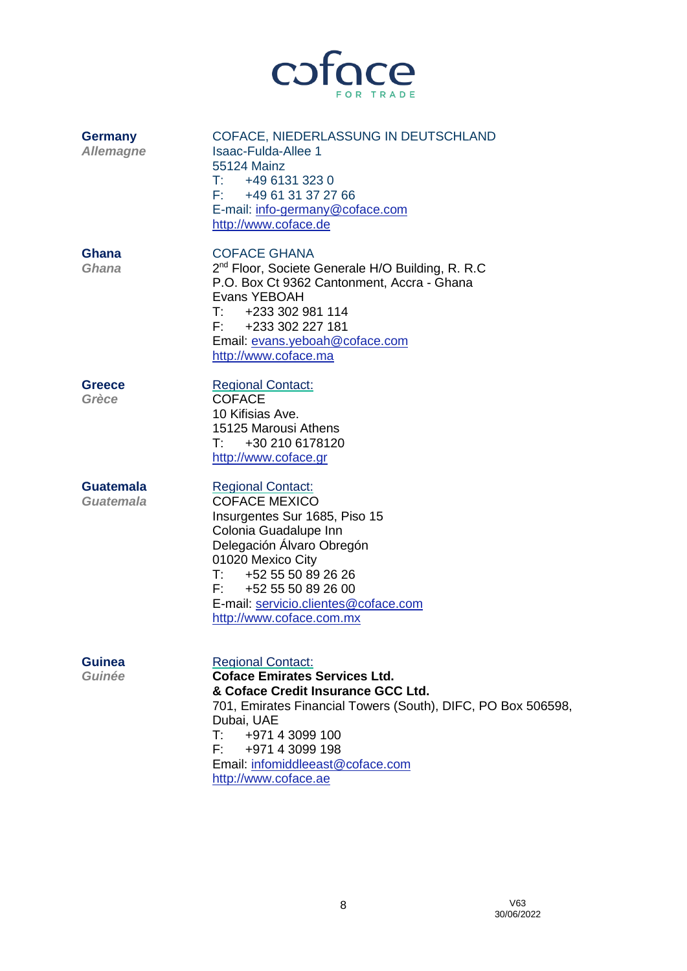

| <b>Germany</b><br><b>Allemagne</b> | COFACE, NIEDERLASSUNG IN DEUTSCHLAND<br><b>Isaac-Fulda-Allee 1</b><br>55124 Mainz<br>T: 4961313230<br>F: +49 61 31 37 27 66<br>E-mail: info-germany@coface.com<br>http://www.coface.de                                                                                                                  |
|------------------------------------|---------------------------------------------------------------------------------------------------------------------------------------------------------------------------------------------------------------------------------------------------------------------------------------------------------|
| Ghana<br>Ghana                     | <b>COFACE GHANA</b><br>2 <sup>nd</sup> Floor, Societe Generale H/O Building, R. R.C<br>P.O. Box Ct 9362 Cantonment, Accra - Ghana<br>Evans YEBOAH<br>T: 4233302981114<br>F: +233 302 227 181<br>Email: evans.yeboah@coface.com<br>http://www.coface.ma                                                  |
| <b>Greece</b><br>Grèce             | <b>Regional Contact:</b><br><b>COFACE</b><br>10 Kifisias Ave.<br>15125 Marousi Athens<br>$\mathsf{T}:\mathsf{I} \to \mathsf{I}$<br>+30 210 6178120<br>http://www.coface.gr                                                                                                                              |
| <b>Guatemala</b><br>Guatemala      | <b>Regional Contact:</b><br><b>COFACE MEXICO</b><br>Insurgentes Sur 1685, Piso 15<br>Colonia Guadalupe Inn<br>Delegación Álvaro Obregón<br>01020 Mexico City<br>+52 55 50 89 26 26<br>$\mathsf{T}^{\mathsf{r}}$<br>F: 4525550892600<br>E-mail: servicio.clientes@coface.com<br>http://www.coface.com.mx |
| Guinea<br>Guinée                   | <b>Regional Contact:</b><br><b>Coface Emirates Services Ltd.</b><br>& Coface Credit Insurance GCC Ltd.<br>701, Emirates Financial Towers (South), DIFC, PO Box 506598,<br>Dubai, UAE<br>T: 497143099100<br>F: 497143099198<br>Email: infomiddleeast@coface.com                                          |

[http://www.coface.ae](http://www.coface.ae/)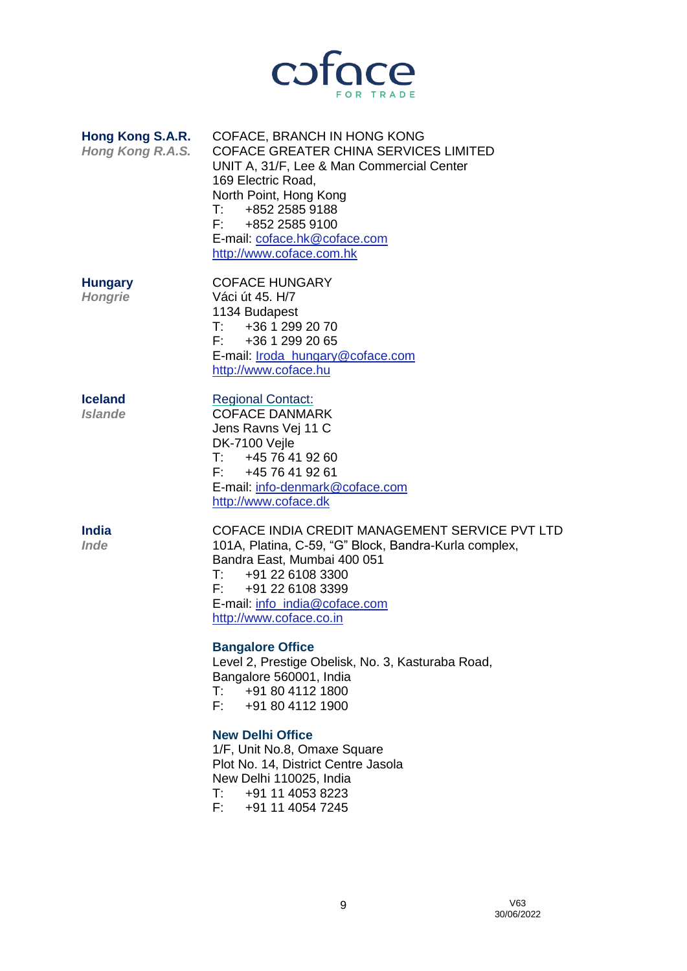

| Hong Kong S.A.R.<br>Hong Kong R.A.S. | COFACE, BRANCH IN HONG KONG<br><b>COFACE GREATER CHINA SERVICES LIMITED</b><br>UNIT A, 31/F, Lee & Man Commercial Center<br>169 Electric Road,<br>North Point, Hong Kong<br>T: 485225859188<br>F: 485225859100<br>E-mail: coface.hk@coface.com<br>http://www.coface.com.hk |
|--------------------------------------|----------------------------------------------------------------------------------------------------------------------------------------------------------------------------------------------------------------------------------------------------------------------------|
| <b>Hungary</b>                       | <b>COFACE HUNGARY</b>                                                                                                                                                                                                                                                      |

*Hongrie* Váci út 45. H/7 1134 Budapest T: +36 1 299 20 70  $F: +3612992065$ E-mail: [Iroda\\_hungary@coface.com](mailto:Iroda_hungary@coface.com) [http://www.coface.hu](http://www.coface.hu/)

E-mail: [info-denmark@coface.com](mailto:info-denmark@coface.com)

**Iceland** Regional Contact:

*Islande* COFACE DANMARK

**India** COFACE INDIA CREDIT MANAGEMENT SERVICE PVT LTD *Inde* 101A, Platina, C-59, "G" Block, Bandra-Kurla complex, Bandra East, Mumbai 400 051<br>T: +91 22 6108 3300 T:  $+91\ 22\ 6108\ 3300$ <br>F:  $+91\ 22\ 6108\ 3399$ +91 22 6108 3399 E-mail: [info\\_india@coface.com](mailto:info_india@coface.com) [http://www.coface.co.in](http://www.coface.co.in/)

#### **Bangalore Office**

Jens Ravns Vej 11 C

T: +45 76 41 92 60<br>F: +45 76 41 92 61 +45 76 41 92 61

[http://www.coface.dk](http://www.coface.dk/)

DK-7100 Vejle

Level 2, Prestige Obelisk, No. 3, Kasturaba Road, Bangalore 560001, India  $T:$  +91 80 4112 1800<br>F: +91 80 4112 1900 +91 80 4112 1900

## **New Delhi Office**

1/F, Unit No.8, Omaxe Square Plot No. 14, District Centre Jasola New Delhi 110025, India T: +91 11 4053 8223 F: +91 11 4054 7245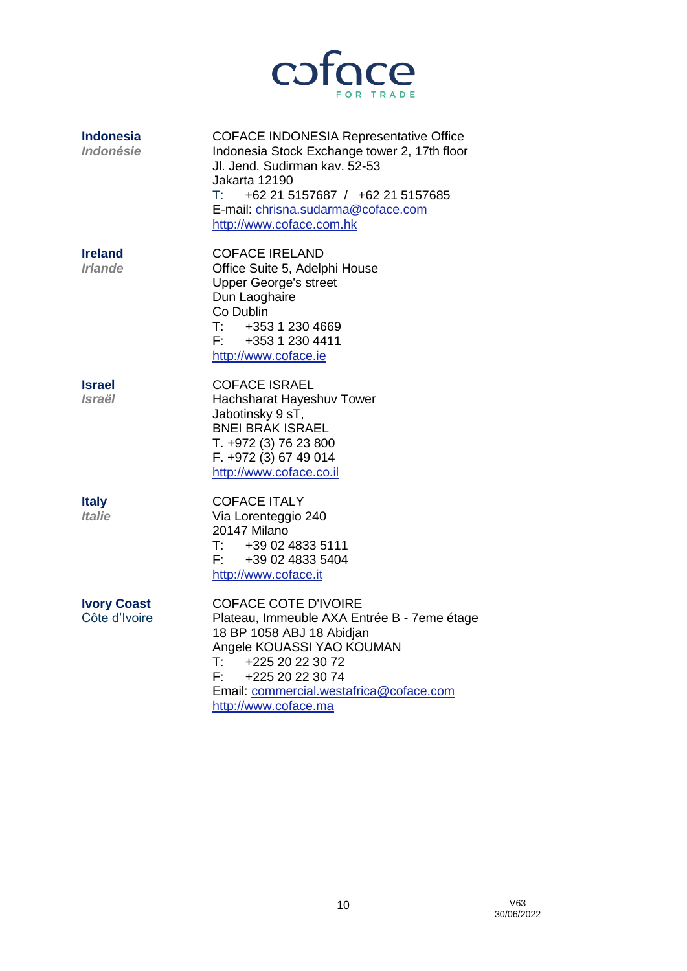

| <b>Indonesia</b><br>Indonésie           | <b>COFACE INDONESIA Representative Office</b><br>Indonesia Stock Exchange tower 2, 17th floor<br>Jl. Jend. Sudirman kav. 52-53<br>Jakarta 12190<br>$\mathsf{T} \mathsf{t}$ .<br>+62 21 5157687 / +62 21 5157685<br>E-mail: chrisna.sudarma@coface.com<br>http://www.coface.com.hk |
|-----------------------------------------|-----------------------------------------------------------------------------------------------------------------------------------------------------------------------------------------------------------------------------------------------------------------------------------|
| <b>Ireland</b><br><i><b>Irlande</b></i> | <b>COFACE IRELAND</b><br>Office Suite 5, Adelphi House<br><b>Upper George's street</b><br>Dun Laoghaire<br>Co Dublin<br>T:<br>+353 1 230 4669<br>F: 435312304411<br>http://www.coface.ie                                                                                          |
| <b>Israel</b><br><i><b>Israël</b></i>   | <b>COFACE ISRAEL</b><br>Hachsharat Hayeshuv Tower<br>Jabotinsky 9 sT,<br><b>BNEI BRAK ISRAEL</b><br>T. +972 (3) 76 23 800<br>F. +972 (3) 67 49 014<br>http://www.coface.co.il                                                                                                     |
| <b>Italy</b><br><i><b>Italie</b></i>    | <b>COFACE ITALY</b><br>Via Lorenteggio 240<br>20147 Milano<br>T:<br>+39 02 4833 5111<br>F: 4390248335404<br>http://www.coface.it                                                                                                                                                  |
| <b>Ivory Coast</b><br>Côte d'Ivoire     | <b>COFACE COTE D'IVOIRE</b><br>Plateau, Immeuble AXA Entrée B - 7eme étage<br>18 BP 1058 ABJ 18 Abidjan<br>Angele KOUASSI YAO KOUMAN<br>T:<br>+225 20 22 30 72<br>F:<br>+225 20 22 30 74<br>Email: commercial.westafrica@coface.com<br>http://www.coface.ma                       |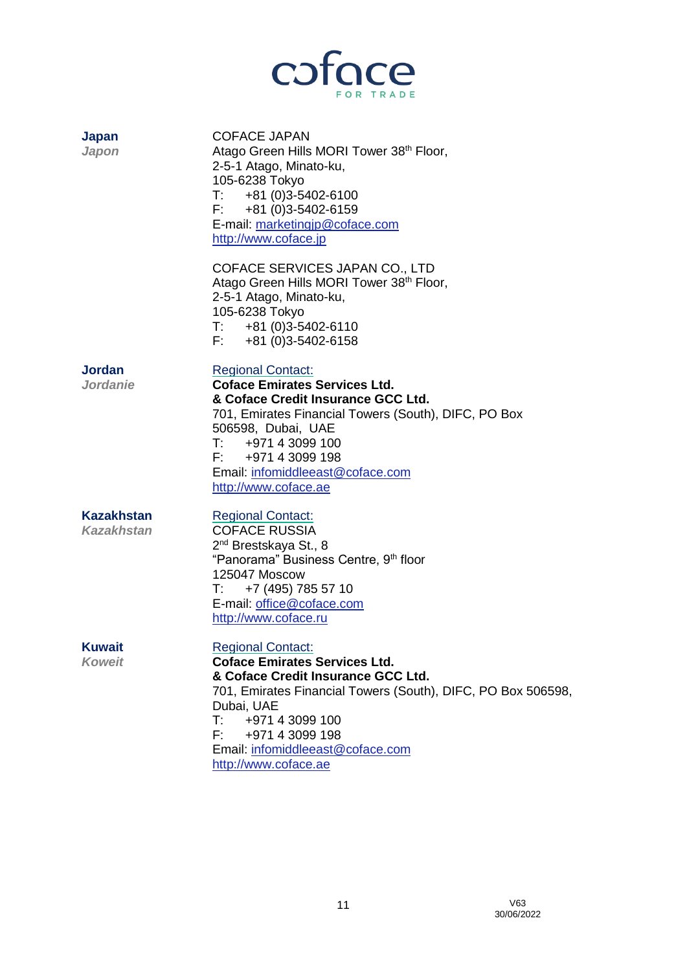

| Japan<br>Japon                  | <b>COFACE JAPAN</b><br>Atago Green Hills MORI Tower 38 <sup>th</sup> Floor,<br>2-5-1 Atago, Minato-ku,<br>105-6238 Tokyo<br>$T: +81(0)3-5402-6100$<br>$F: +81(0)3-5402-6159$<br>E-mail: marketingjp@coface.com<br>http://www.coface.jp                                                                   |
|---------------------------------|----------------------------------------------------------------------------------------------------------------------------------------------------------------------------------------------------------------------------------------------------------------------------------------------------------|
|                                 | COFACE SERVICES JAPAN CO., LTD<br>Atago Green Hills MORI Tower 38th Floor,<br>2-5-1 Atago, Minato-ku,<br>105-6238 Tokyo<br>$T: +81(0)3-5402-6110$<br>$F: +81(0)3-5402-6158$                                                                                                                              |
| Jordan<br><b>Jordanie</b>       | <b>Regional Contact:</b><br><b>Coface Emirates Services Ltd.</b><br>& Coface Credit Insurance GCC Ltd.<br>701, Emirates Financial Towers (South), DIFC, PO Box<br>506598, Dubai, UAE<br>T: 497143099100<br>F: 497143099198<br>Email: infomiddleeast@coface.com<br>http://www.coface.ae                   |
| <b>Kazakhstan</b><br>Kazakhstan | <b>Regional Contact:</b><br><b>COFACE RUSSIA</b><br>2 <sup>nd</sup> Brestskaya St., 8<br>"Panorama" Business Centre, 9th floor<br>125047 Moscow<br>+7 (495) 785 57 10<br>T:<br>E-mail: office@coface.com<br>http://www.coface.ru                                                                         |
| Kuwait<br><b>Koweit</b>         | <b>Regional Contact:</b><br><b>Coface Emirates Services Ltd.</b><br>& Coface Credit Insurance GCC Ltd.<br>701, Emirates Financial Towers (South), DIFC, PO Box 506598,<br>Dubai, UAE<br>$\mathsf{T}$ :<br>+971 4 3099 100<br>F: 497143099198<br>Email: infomiddleeast@coface.com<br>http://www.coface.ae |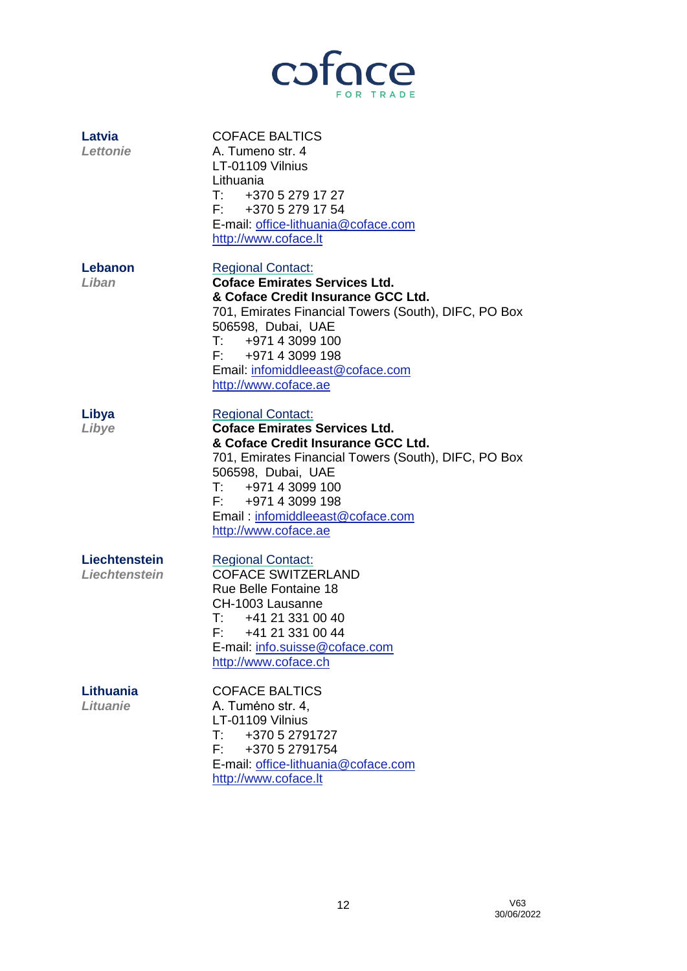

| Latvia<br><b>Lettonie</b>      | <b>COFACE BALTICS</b><br>A. Tumeno str. 4<br>LT-01109 Vilnius<br>Lithuania<br>T: 437052791727<br>F: 437052791754<br>E-mail: office-lithuania@coface.com<br>http://www.coface.lt                                                                                                           |
|--------------------------------|-------------------------------------------------------------------------------------------------------------------------------------------------------------------------------------------------------------------------------------------------------------------------------------------|
| Lebanon<br>Liban               | <b>Regional Contact:</b><br><b>Coface Emirates Services Ltd.</b><br>& Coface Credit Insurance GCC Ltd.<br>701, Emirates Financial Towers (South), DIFC, PO Box<br>506598, Dubai, UAE<br>T: 497143099100<br>F: 497143099198<br>Email: infomiddleeast@coface.com<br>http://www.coface.ae    |
| Libya<br>Libye                 | <b>Regional Contact:</b><br><b>Coface Emirates Services Ltd.</b><br>& Coface Credit Insurance GCC Ltd.<br>701, Emirates Financial Towers (South), DIFC, PO Box<br>506598, Dubai, UAE<br>T: 497143099100<br>F: +971 4 3099 198<br>Email: infomiddleeast@coface.com<br>http://www.coface.ae |
| Liechtenstein<br>Liechtenstein | <b>Regional Contact:</b><br><b>COFACE SWITZERLAND</b><br><b>Rue Belle Fontaine 18</b><br>CH-1003 Lausanne<br>$T:$ +41 21 331 00 40<br>F: +41 21 331 00 44<br>E-mail: info.suisse@coface.com<br>http://www.coface.ch                                                                       |
| Lithuania<br><b>Lituanie</b>   | <b>COFACE BALTICS</b><br>A. Tumėno str. 4,<br>LT-01109 Vilnius<br>+370 5 2791727<br>$\mathsf{T}:\mathbb{R}^n$<br>F: I<br>+370 5 2791754<br>E-mail: office-lithuania@coface.com<br>http://www.coface.lt                                                                                    |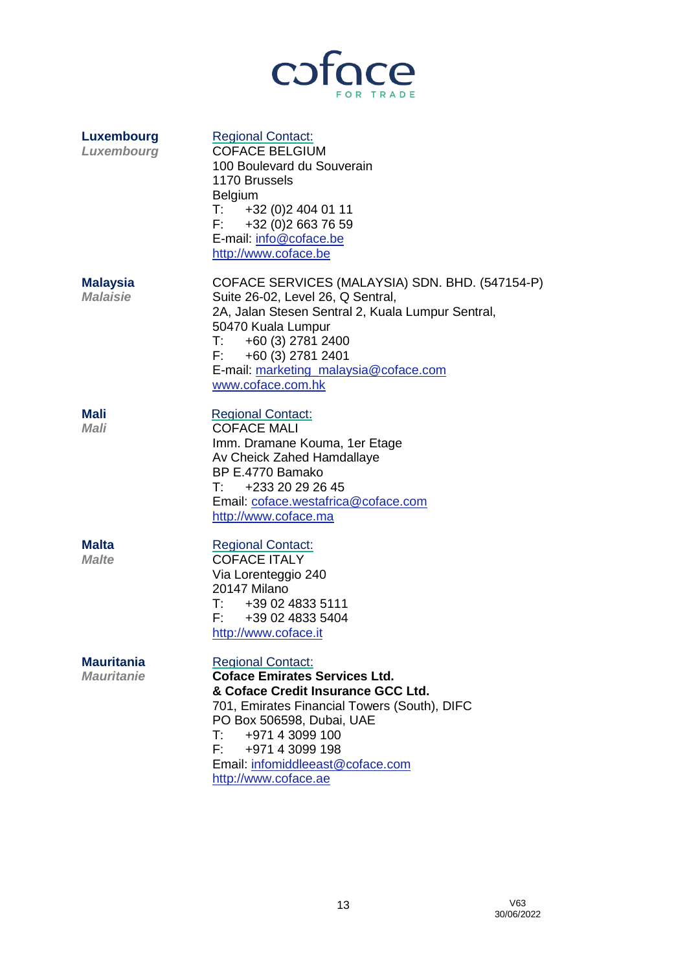

| Luxembourg<br>Luxembourg               | <b>Regional Contact:</b><br><b>COFACE BELGIUM</b><br>100 Boulevard du Souverain<br>1170 Brussels<br><b>Belgium</b><br>T: 432(0)24040111<br>F: 432(0)26637659<br>E-mail: info@coface.be<br>http://www.coface.be                                                                              |
|----------------------------------------|---------------------------------------------------------------------------------------------------------------------------------------------------------------------------------------------------------------------------------------------------------------------------------------------|
| <b>Malaysia</b><br><b>Malaisie</b>     | COFACE SERVICES (MALAYSIA) SDN. BHD. (547154-P)<br>Suite 26-02, Level 26, Q Sentral,<br>2A, Jalan Stesen Sentral 2, Kuala Lumpur Sentral,<br>50470 Kuala Lumpur<br>$T: +60(3) 2781 2400$<br>$F: +60(3)$ 2781 2401<br>E-mail: marketing_malaysia@coface.com<br>www.coface.com.hk             |
| Mali<br>Mali                           | <b>Regional Contact:</b><br><b>COFACE MALI</b><br>Imm. Dramane Kouma, 1er Etage<br>Av Cheick Zahed Hamdallaye<br>BP E.4770 Bamako<br>+233 20 29 26 45<br>$\mathsf{T}^{\mathsf{r}}$<br>Email: coface.westafrica@coface.com<br>http://www.coface.ma                                           |
| <b>Malta</b><br><b>Malte</b>           | <b>Regional Contact:</b><br><b>COFACE ITALY</b><br>Via Lorenteggio 240<br>20147 Milano<br>T: 4390248335111<br>F: 4390248335404<br>http://www.coface.it                                                                                                                                      |
| <b>Mauritania</b><br><b>Mauritanie</b> | <b>Regional Contact:</b><br><b>Coface Emirates Services Ltd.</b><br>& Coface Credit Insurance GCC Ltd.<br>701, Emirates Financial Towers (South), DIFC<br>PO Box 506598, Dubai, UAE<br>T:<br>+971 4 3099 100<br>F: 497143099198<br>Email: infomiddleeast@coface.com<br>http://www.coface.ae |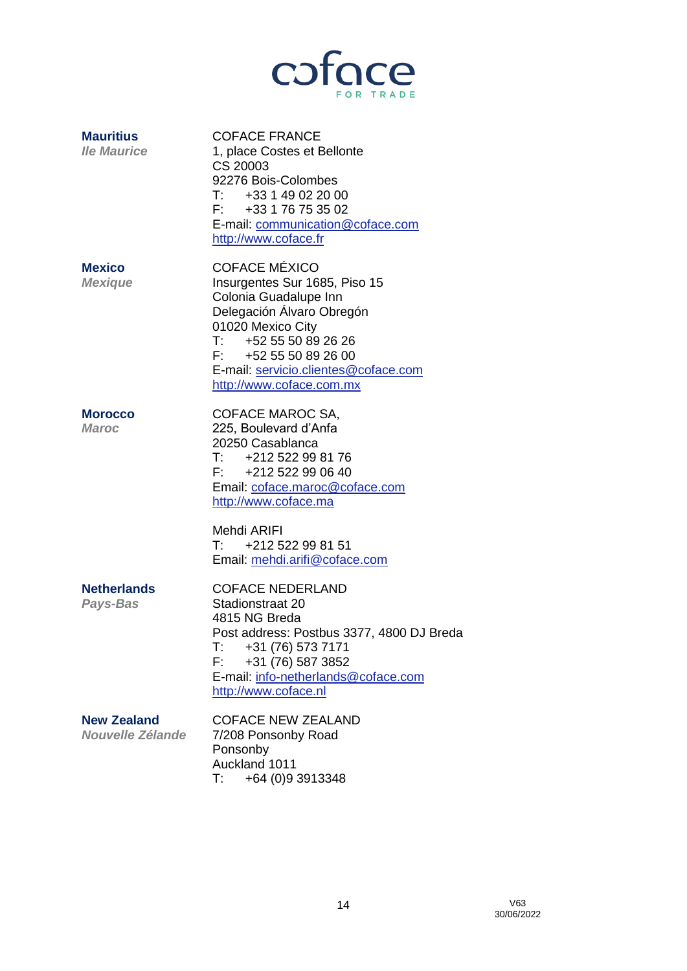

| <b>Mauritius</b><br><b>Ile Maurice</b> | <b>COFACE FRANCE</b><br>1, place Costes et Bellonte<br>CS 20003<br>92276 Bois-Colombes<br>$T:$ +33 1 49 02 20 00<br>F: 433176753502<br>E-mail: communication@coface.com<br>http://www.coface.fr                                                       |
|----------------------------------------|-------------------------------------------------------------------------------------------------------------------------------------------------------------------------------------------------------------------------------------------------------|
| <b>Mexico</b><br><b>Mexique</b>        | <b>COFACE MÉXICO</b><br>Insurgentes Sur 1685, Piso 15<br>Colonia Guadalupe Inn<br>Delegación Álvaro Obregón<br>01020 Mexico City<br>$T:$ +52 55 50 89 26 26<br>$F: +525550892600$<br>E-mail: servicio.clientes@coface.com<br>http://www.coface.com.mx |
| <b>Morocco</b><br><b>Maroc</b>         | COFACE MAROC SA,<br>225, Boulevard d'Anfa<br>20250 Casablanca<br>$T:$ +212 522 99 81 76<br>F: +212 522 99 06 40<br>Email: coface.maroc@coface.com<br>http://www.coface.ma                                                                             |
|                                        | Mehdi ARIFI<br>$T:$ +212 522 99 81 51<br>Email: mehdi.arifi@coface.com                                                                                                                                                                                |
| <b>Netherlands</b><br>Pays-Bas         | <b>COFACE NEDERLAND</b><br>Stadionstraat 20<br>4815 NG Breda<br>Post address: Postbus 3377, 4800 DJ Breda<br>$T: +31(76) 573 7171$<br>+31 (76) 587 3852<br>F.<br>E-mail: info-netherlands@coface.com<br>http://www.coface.nl                          |
| <b>New Zealand</b><br>Nouvelle Zélande | <b>COFACE NEW ZEALAND</b><br>7/208 Ponsonby Road<br>Ponsonby<br>Auckland 1011<br>$\mathsf{T} \mathsf{f}$ .<br>+64 (0) 93913348                                                                                                                        |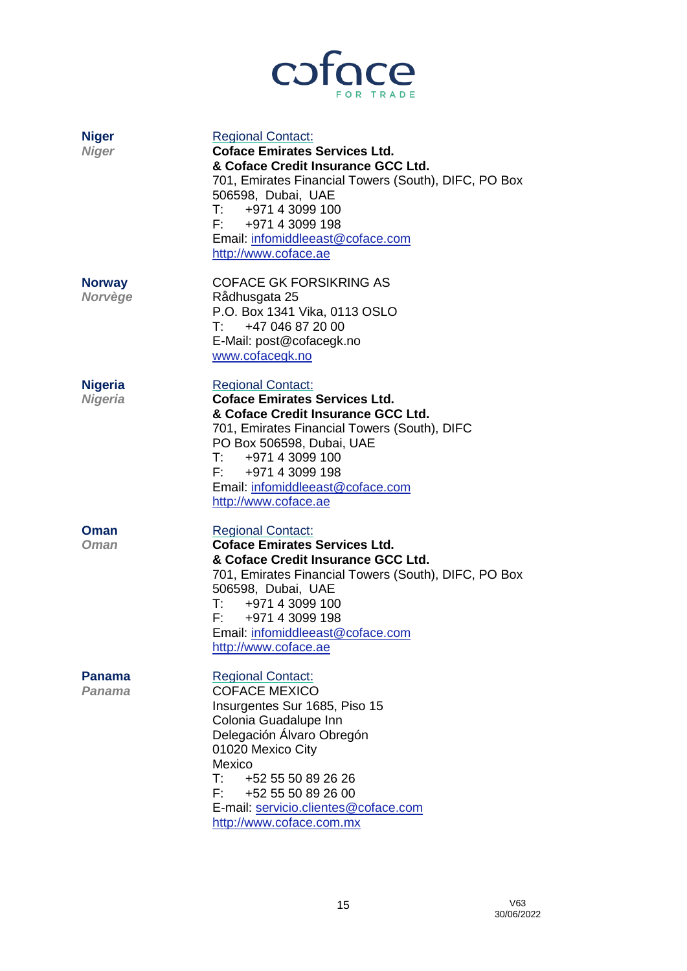

| <b>Niger</b><br><b>Niger</b>     | <b>Regional Contact:</b><br><b>Coface Emirates Services Ltd.</b><br>& Coface Credit Insurance GCC Ltd.<br>701, Emirates Financial Towers (South), DIFC, PO Box<br>506598, Dubai, UAE<br>T: 497143099100<br>F: 497143099198<br>Email: infomiddleeast@coface.com<br>http://www.coface.ae                                    |
|----------------------------------|---------------------------------------------------------------------------------------------------------------------------------------------------------------------------------------------------------------------------------------------------------------------------------------------------------------------------|
| <b>Norway</b><br>Norvège         | <b>COFACE GK FORSIKRING AS</b><br>Rådhusgata 25<br>P.O. Box 1341 Vika, 0113 OSLO<br>$T: +47046872000$<br>E-Mail: post@cofacegk.no<br>www.cofacegk.no                                                                                                                                                                      |
| <b>Nigeria</b><br><b>Nigeria</b> | <b>Regional Contact:</b><br><b>Coface Emirates Services Ltd.</b><br>& Coface Credit Insurance GCC Ltd.<br>701, Emirates Financial Towers (South), DIFC<br>PO Box 506598, Dubai, UAE<br>T: 497143099100<br>F: 497143099198<br>Email: infomiddleeast@coface.com<br>http://www.coface.ae                                     |
| Oman<br><b>Oman</b>              | <b>Regional Contact:</b><br><b>Coface Emirates Services Ltd.</b><br>& Coface Credit Insurance GCC Ltd.<br>701, Emirates Financial Towers (South), DIFC, PO Box<br>506598, Dubai, UAE<br>T: 497143099100<br>F: 497143099198<br>Email: infomiddleeast@coface.com<br>http://www.coface.ae                                    |
| Panama<br>Panama                 | <b>Regional Contact:</b><br><b>COFACE MEXICO</b><br>Insurgentes Sur 1685, Piso 15<br>Colonia Guadalupe Inn<br>Delegación Álvaro Obregón<br>01020 Mexico City<br>Mexico<br>$\mathsf{T}:\mathbb{R}^n$<br>+52 55 50 89 26 26<br>F:<br>+52 55 50 89 26 00<br>E-mail: servicio.clientes@coface.com<br>http://www.coface.com.mx |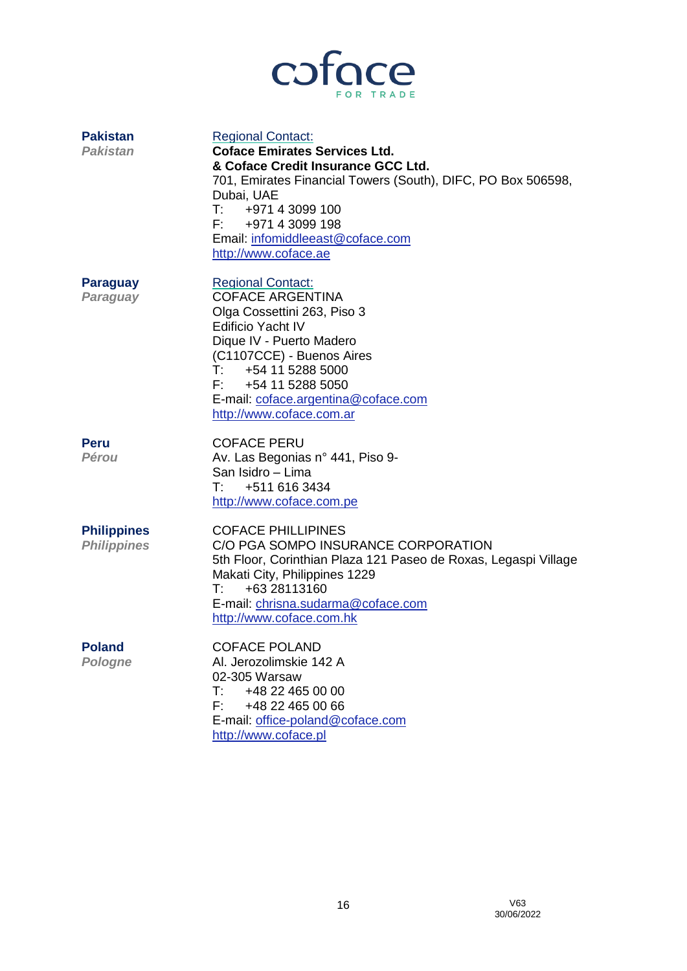

| <b>Pakistan</b><br><b>Pakistan</b>       | <b>Regional Contact:</b><br><b>Coface Emirates Services Ltd.</b><br>& Coface Credit Insurance GCC Ltd.<br>701, Emirates Financial Towers (South), DIFC, PO Box 506598,<br>Dubai, UAE<br>T: 497143099100<br>F: 497143099198<br>Email: infomiddleeast@coface.com<br>http://www.coface.ae           |
|------------------------------------------|--------------------------------------------------------------------------------------------------------------------------------------------------------------------------------------------------------------------------------------------------------------------------------------------------|
| <b>Paraguay</b><br>Paraguay              | <b>Regional Contact:</b><br><b>COFACE ARGENTINA</b><br>Olga Cossettini 263, Piso 3<br><b>Edificio Yacht IV</b><br>Dique IV - Puerto Madero<br>(C1107CCE) - Buenos Aires<br>T: 4541152885000<br>F: 454 11 5288 5050<br>E-mail: coface.argentina@coface.com<br>http://www.coface.com.ar            |
| <b>Peru</b><br><b>Pérou</b>              | <b>COFACE PERU</b><br>Av. Las Begonias n° 441, Piso 9-<br>San Isidro - Lima<br>$\mathsf{T}^{\mathsf{r}}$ and $\mathsf{r}$<br>+511 616 3434<br>http://www.coface.com.pe                                                                                                                           |
| <b>Philippines</b><br><b>Philippines</b> | <b>COFACE PHILLIPINES</b><br>C/O PGA SOMPO INSURANCE CORPORATION<br>5th Floor, Corinthian Plaza 121 Paseo de Roxas, Legaspi Village<br>Makati City, Philippines 1229<br>+63 28113160<br>$\mathsf{T}:\mathsf{I} \to \mathsf{I}$<br>E-mail: chrisna.sudarma@coface.com<br>http://www.coface.com.hk |
| <b>Poland</b><br><b>Pologne</b>          | <b>COFACE POLAND</b><br>Al. Jerozolimskie 142 A<br>02-305 Warsaw<br>T:<br>+48 22 465 00 00<br>F:<br>+48 22 465 00 66<br>E-mail: office-poland@coface.com<br>http://www.coface.pl                                                                                                                 |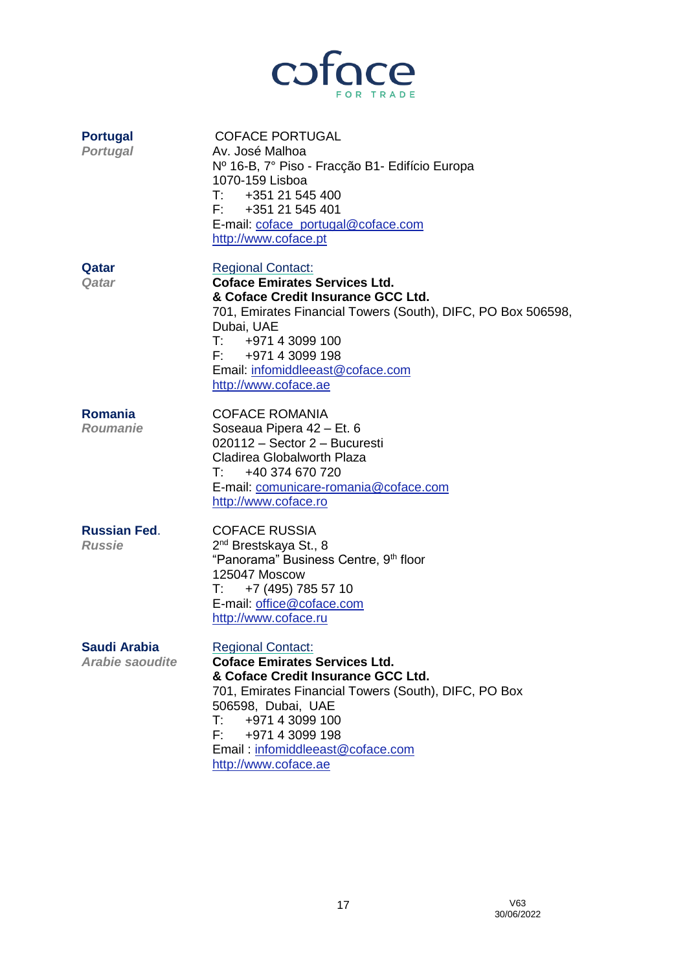

| <b>Portugal</b><br><b>Portugal</b>            | <b>COFACE PORTUGAL</b><br>Av. José Malhoa<br>Nº 16-B, 7º Piso - Fracção B1- Edifício Europa<br>1070-159 Lisboa<br>T: 435121545400<br>F: 435121545401<br>E-mail: coface_portugal@coface.com<br>http://www.coface.pt                                                                                     |
|-----------------------------------------------|--------------------------------------------------------------------------------------------------------------------------------------------------------------------------------------------------------------------------------------------------------------------------------------------------------|
| Qatar<br>Qatar                                | <b>Regional Contact:</b><br><b>Coface Emirates Services Ltd.</b><br>& Coface Credit Insurance GCC Ltd.<br>701, Emirates Financial Towers (South), DIFC, PO Box 506598,<br>Dubai, UAE<br>T: 497143099100<br>F: +971 4 3099 198<br>Email: infomiddleeast@coface.com<br>http://www.coface.ae              |
| <b>Romania</b><br><b>Roumanie</b>             | <b>COFACE ROMANIA</b><br>Soseaua Pipera 42 - Et. 6<br>020112 - Sector 2 - Bucuresti<br>Cladirea Globalworth Plaza<br>T: 40374670720<br>E-mail: comunicare-romania@coface.com<br>http://www.coface.ro                                                                                                   |
| <b>Russian Fed.</b><br><b>Russie</b>          | <b>COFACE RUSSIA</b><br>2 <sup>nd</sup> Brestskaya St., 8<br>"Panorama" Business Centre, 9th floor<br>125047 Moscow<br>+7 (495) 785 57 10<br>T:<br>E-mail: office@coface.com<br>http://www.coface.ru                                                                                                   |
| <b>Saudi Arabia</b><br><b>Arabie saoudite</b> | <b>Regional Contact:</b><br><b>Coface Emirates Services Ltd.</b><br>& Coface Credit Insurance GCC Ltd.<br>701, Emirates Financial Towers (South), DIFC, PO Box<br>506598, Dubai, UAE<br>T: .<br>+971 4 3099 100<br>+971 4 3099 198<br>F: I<br>Email: infomiddleeast@coface.com<br>http://www.coface.ae |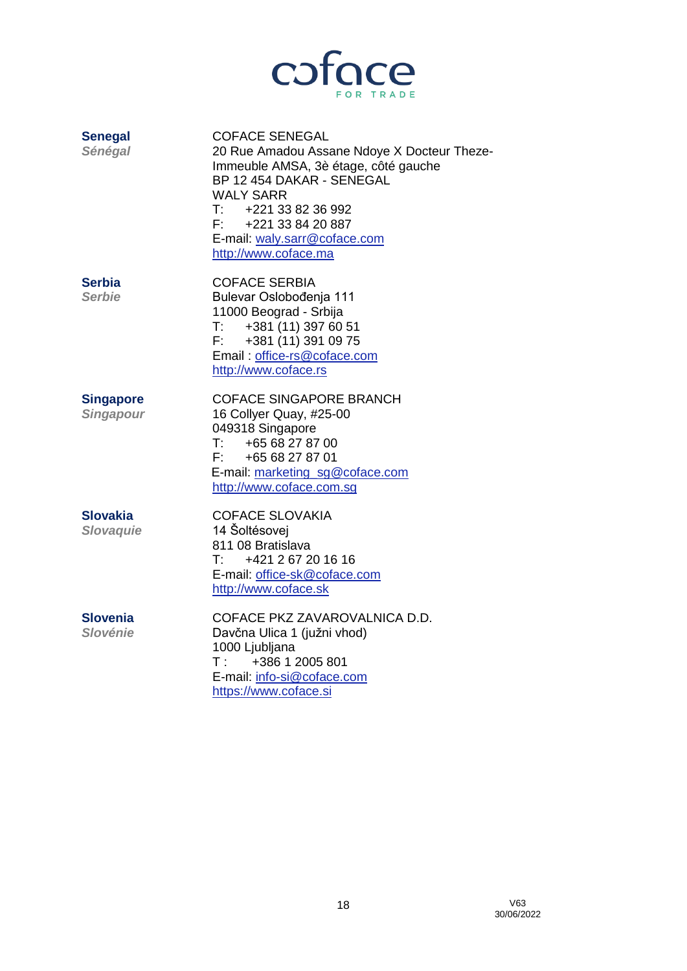

| <b>Senegal</b><br>Sénégal            | <b>COFACE SENEGAL</b><br>20 Rue Amadou Assane Ndoye X Docteur Theze-<br>Immeuble AMSA, 3è étage, côté gauche<br>BP 12 454 DAKAR - SENEGAL<br><b>WALY SARR</b><br>$T:$ +221 33 82 36 992<br>F: +221 33 84 20 887<br>E-mail: waly.sarr@coface.com<br>http://www.coface.ma |
|--------------------------------------|-------------------------------------------------------------------------------------------------------------------------------------------------------------------------------------------------------------------------------------------------------------------------|
| <b>Serbia</b><br><b>Serbie</b>       | <b>COFACE SERBIA</b><br>Bulevar Oslobođenja 111<br>11000 Beograd - Srbija<br>$\mathsf{T}$ :<br>+381 (11) 397 60 51<br>+381 (11) 391 09 75<br>F:<br>Email: office-rs@coface.com<br>http://www.coface.rs                                                                  |
| <b>Singapore</b><br><b>Singapour</b> | <b>COFACE SINGAPORE BRANCH</b><br>16 Collyer Quay, #25-00<br>049318 Singapore<br>$\mathsf{T}^{\mathsf{r}}$ and<br>+65 68 27 87 00<br>F: 46568278701<br>E-mail: marketing sg@coface.com<br>http://www.coface.com.sq                                                      |
| Slovakia<br><b>Slovaquie</b>         | <b>COFACE SLOVAKIA</b><br>14 Šoltésovej<br>811 08 Bratislava<br>T:<br>+421 2 67 20 16 16<br>E-mail: office-sk@coface.com<br>http://www.coface.sk                                                                                                                        |
| <b>Slovenia</b><br><b>Slovénie</b>   | COFACE PKZ ZAVAROVALNICA D.D.<br>Davčna Ulica 1 (južni vhod)<br>1000 Ljubljana<br>$T$ :<br>+386 1 2005 801<br>E-mail: info-si@coface.com<br>https://www.coface.si                                                                                                       |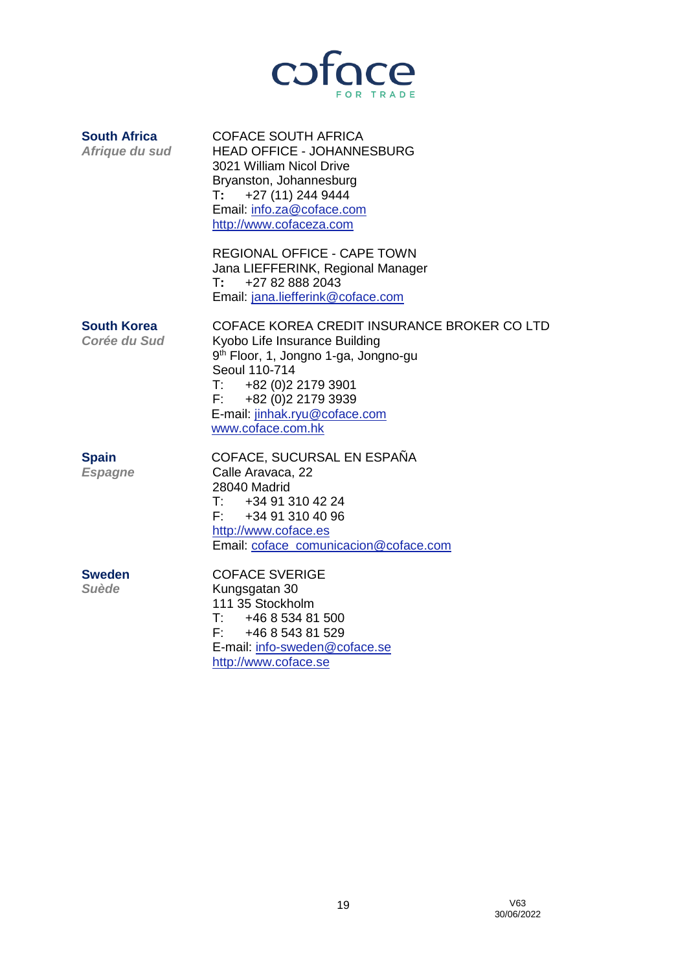

| <b>South Africa</b><br>Afrique du sud | <b>COFACE SOUTH AFRICA</b><br><b>HEAD OFFICE - JOHANNESBURG</b><br>3021 William Nicol Drive<br>Bryanston, Johannesburg<br>$T: +27(11)2449444$<br>Email: info.za@coface.com<br>http://www.cofaceza.com                                                   |
|---------------------------------------|---------------------------------------------------------------------------------------------------------------------------------------------------------------------------------------------------------------------------------------------------------|
|                                       | <b>REGIONAL OFFICE - CAPE TOWN</b><br>Jana LIEFFERINK, Regional Manager<br>+27 82 888 2043<br>T:<br>Email: jana.liefferink@coface.com                                                                                                                   |
| South Korea<br>Corée du Sud           | COFACE KOREA CREDIT INSURANCE BROKER CO LTD<br>Kyobo Life Insurance Building<br>9 <sup>th</sup> Floor, 1, Jongno 1-ga, Jongno-gu<br>Seoul 110-714<br>$T: +82(0)221793901$<br>$F: +82(0)221793939$<br>E-mail: jinhak.ryu@coface.com<br>www.coface.com.hk |
| <b>Spain</b><br><b>Espagne</b>        | COFACE, SUCURSAL EN ESPAÑA<br>Calle Aravaca, 22<br>28040 Madrid<br>T. נרא הוכים המוכיח ה                                                                                                                                                                |

T: +34 91 310 42 24<br>F: +34 91 310 40 96 +34 91 310 40 96 [http://www.coface.es](http://www.coface.es/) Email: [coface\\_comunicacion@coface.com](mailto:coface_comunicacion@coface.com)

**Sweden** COFACE SVERIGE<br>
Suède Kungsgatan 30 *Suède* Kungsgatan 30

111 35 Stockholm<br>T: +46 8 534 81 +46 8 534 81 500 F: +46 8 543 81 529 E-mail: [info-sweden@coface.se](mailto:info-sweden@coface.se) [http://www.coface.se](http://www.coface.se/)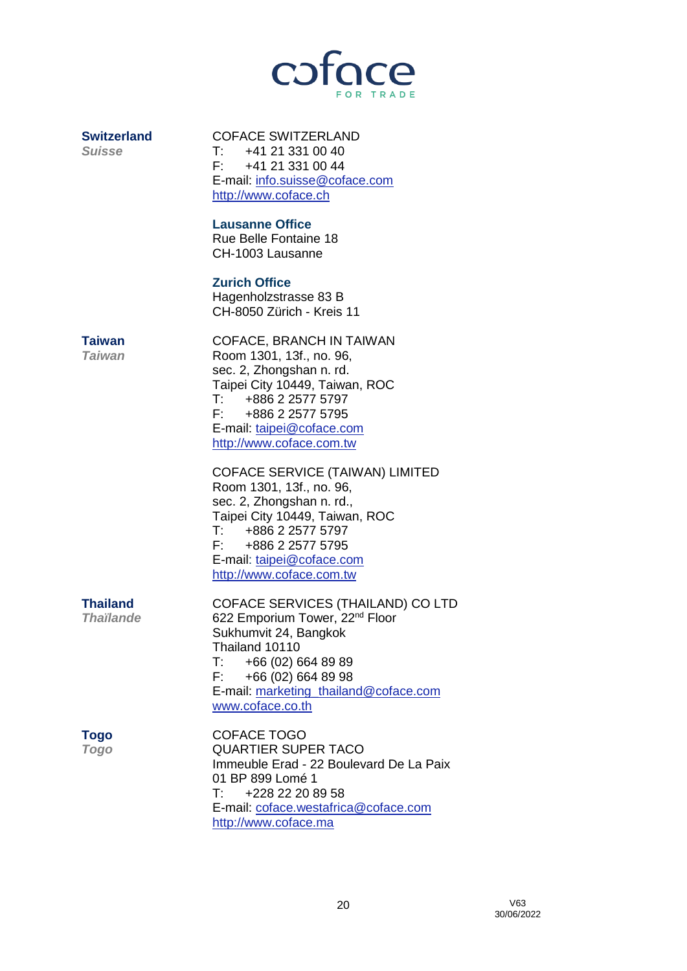

**Switzerland** COFACE SWITZERLAND *Suisse* T: +41 21 331 00 40 F: +41 21 331 00 44 E-mail: [info.suisse@coface.com](mailto:info.suisse@coface.com)  [http://www.coface.ch](http://www.coface.ch/)

### **Lausanne Office**

Rue Belle Fontaine 18 CH-1003 Lausanne

## **Zurich Office**

Hagenholzstrasse 83 B CH-8050 Zürich - Kreis 11

**Taiwan** COFACE, BRANCH IN TAIWAN *Taiwan* Room 1301, 13f., no. 96, sec. 2, Zhongshan n. rd. Taipei City 10449, Taiwan, ROC T: +886 2 2577 5797 F: +886 2 2577 5795 E-mail: [taipei@coface.com](mailto:taipei@coface.com) [http://www.coface.com.tw](http://www.coface.com.tw/)

> COFACE SERVICE (TAIWAN) LIMITED Room 1301, 13f., no. 96, sec. 2, Zhongshan n. rd., Taipei City 10449, Taiwan, ROC T: +886 2 2577 5797 F: +886 2 2577 5795 E-mail: [taipei@coface.com](mailto:taipei@coface.com) [http://www.coface.com.tw](http://www.coface.com.tw/)

**Thailand** COFACE SERVICES (THAILAND) CO LTD *Thaïlande* 622 Emporium Tower, 22nd Floor Sukhumvit 24, Bangkok Thailand 10110 T: +66 (02) 664 89 89 F: +66 (02) 664 89 98 E-mail: [marketing\\_thailand@coface.com](mailto:marketing_thailand@coface.com) [www.coface.co.th](http://www.coface.co.th/)

**Togo** COFACE TOGO *Togo* QUARTIER SUPER TACO Immeuble Erad - 22 Boulevard De La Paix 01 BP 899 Lomé 1 T: +228 22 20 89 58 E-mail: [coface.westafrica@coface.com](mailto:coface.westafrica@coface.com) [http://www.coface.ma](http://www.coface.ma/)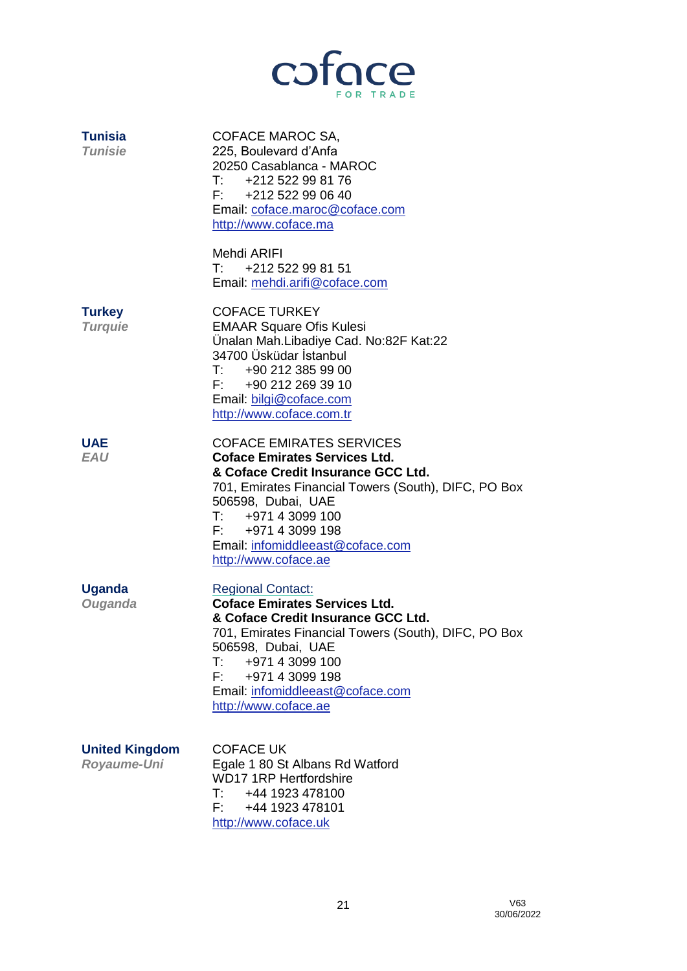

| <b>Tunisia</b><br><b>Tunisie</b>     | COFACE MAROC SA,<br>225, Boulevard d'Anfa<br>20250 Casablanca - MAROC<br>+212 522 99 81 76<br>$\mathsf{T}:\mathsf{I} \to \mathsf{I}$<br>$F:$ +212 522 99 06 40<br>Email: coface.maroc@coface.com<br>http://www.coface.ma                                                                                                               |
|--------------------------------------|----------------------------------------------------------------------------------------------------------------------------------------------------------------------------------------------------------------------------------------------------------------------------------------------------------------------------------------|
|                                      | Mehdi ARIFI<br>$T:$ +212 522 99 81 51<br>Email: mehdi.arifi@coface.com                                                                                                                                                                                                                                                                 |
| <b>Turkey</b><br><b>Turquie</b>      | <b>COFACE TURKEY</b><br><b>EMAAR Square Ofis Kulesi</b><br>Ünalan Mah.Libadiye Cad. No:82F Kat:22<br>34700 Üsküdar İstanbul<br>T: 4902123859900<br>F: +90 212 269 39 10<br>Email: bilgi@coface.com<br>http://www.coface.com.tr                                                                                                         |
| <b>UAE</b><br><b>EAU</b>             | <b>COFACE EMIRATES SERVICES</b><br><b>Coface Emirates Services Ltd.</b><br>& Coface Credit Insurance GCC Ltd.<br>701, Emirates Financial Towers (South), DIFC, PO Box<br>506598, Dubai, UAE<br>T: 497143099100<br>F: +971 4 3099 198<br>Email: infomiddleeast@coface.com<br>http://www.coface.ae                                       |
| <b>Uganda</b><br>Ouganda             | <b>Regional Contact:</b><br><b>Coface Emirates Services Ltd.</b><br>& Coface Credit Insurance GCC Ltd.<br>701, Emirates Financial Towers (South), DIFC, PO Box<br>506598, Dubai, UAE<br>+971 4 3099 100<br>$\mathsf{T}:\mathsf{I} \to \mathsf{I}$<br>F:<br>+971 4 3099 198<br>Email: infomiddleeast@coface.com<br>http://www.coface.ae |
| <b>United Kingdom</b><br>Royaume-Uni | <b>COFACE UK</b><br>Egale 1 80 St Albans Rd Watford<br><b>WD17 1RP Hertfordshire</b><br>T: 4441923478100<br>F: 4441923478101<br>http://www.coface.uk                                                                                                                                                                                   |